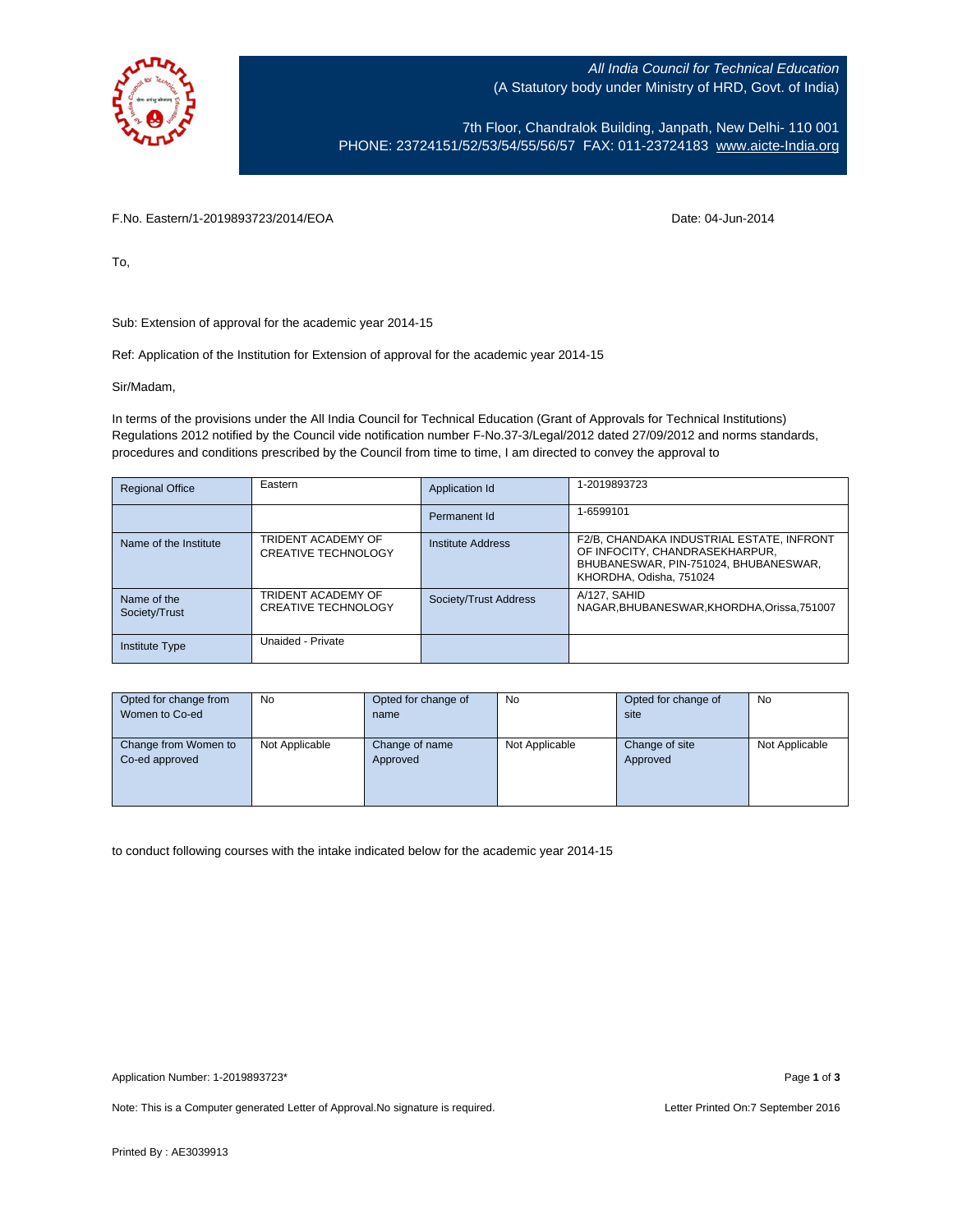

All India Council for Technical Education (A Statutory body under Ministry of HRD, Govt. of India)

7th Floor, Chandralok Building, Janpath, New Delhi- 110 001 PHONE: 23724151/52/53/54/55/56/57 FAX: 011-23724183 [www.aicte-India.org](http://www.aicte-india.org/)

F.No. Eastern/1-2019893723/2014/EOA Date: 04-Jun-2014

To,

Sub: Extension of approval for the academic year 2014-15

Ref: Application of the Institution for Extension of approval for the academic year 2014-15

Sir/Madam,

In terms of the provisions under the All India Council for Technical Education (Grant of Approvals for Technical Institutions) Regulations 2012 notified by the Council vide notification number F-No.37-3/Legal/2012 dated 27/09/2012 and norms standards, procedures and conditions prescribed by the Council from time to time, I am directed to convey the approval to

| <b>Regional Office</b>       | Eastern                                          | Application Id        | 1-2019893723                                                                                                                                    |
|------------------------------|--------------------------------------------------|-----------------------|-------------------------------------------------------------------------------------------------------------------------------------------------|
|                              |                                                  | Permanent Id          | 1-6599101                                                                                                                                       |
| Name of the Institute        | TRIDENT ACADEMY OF<br><b>CREATIVE TECHNOLOGY</b> | Institute Address     | F2/B, CHANDAKA INDUSTRIAL ESTATE, INFRONT<br>OF INFOCITY, CHANDRASEKHARPUR,<br>BHUBANESWAR, PIN-751024, BHUBANESWAR,<br>KHORDHA, Odisha, 751024 |
| Name of the<br>Society/Trust | TRIDENT ACADEMY OF<br><b>CREATIVE TECHNOLOGY</b> | Society/Trust Address | A/127, SAHID<br>NAGAR, BHUBANESWAR, KHORDHA, Orissa, 751007                                                                                     |
| <b>Institute Type</b>        | Unaided - Private                                |                       |                                                                                                                                                 |

| Opted for change from<br>Women to Co-ed | Opted for change of<br>No.<br>name |                            | No             | Opted for change of<br>site | No             |
|-----------------------------------------|------------------------------------|----------------------------|----------------|-----------------------------|----------------|
|                                         |                                    |                            |                |                             |                |
| Change from Women to<br>Co-ed approved  | Not Applicable                     | Change of name<br>Approved | Not Applicable | Change of site<br>Approved  | Not Applicable |
|                                         |                                    |                            |                |                             |                |

to conduct following courses with the intake indicated below for the academic year 2014-15

Note: This is a Computer generated Letter of Approval.No signature is required. Letter Printed On:7 September 2016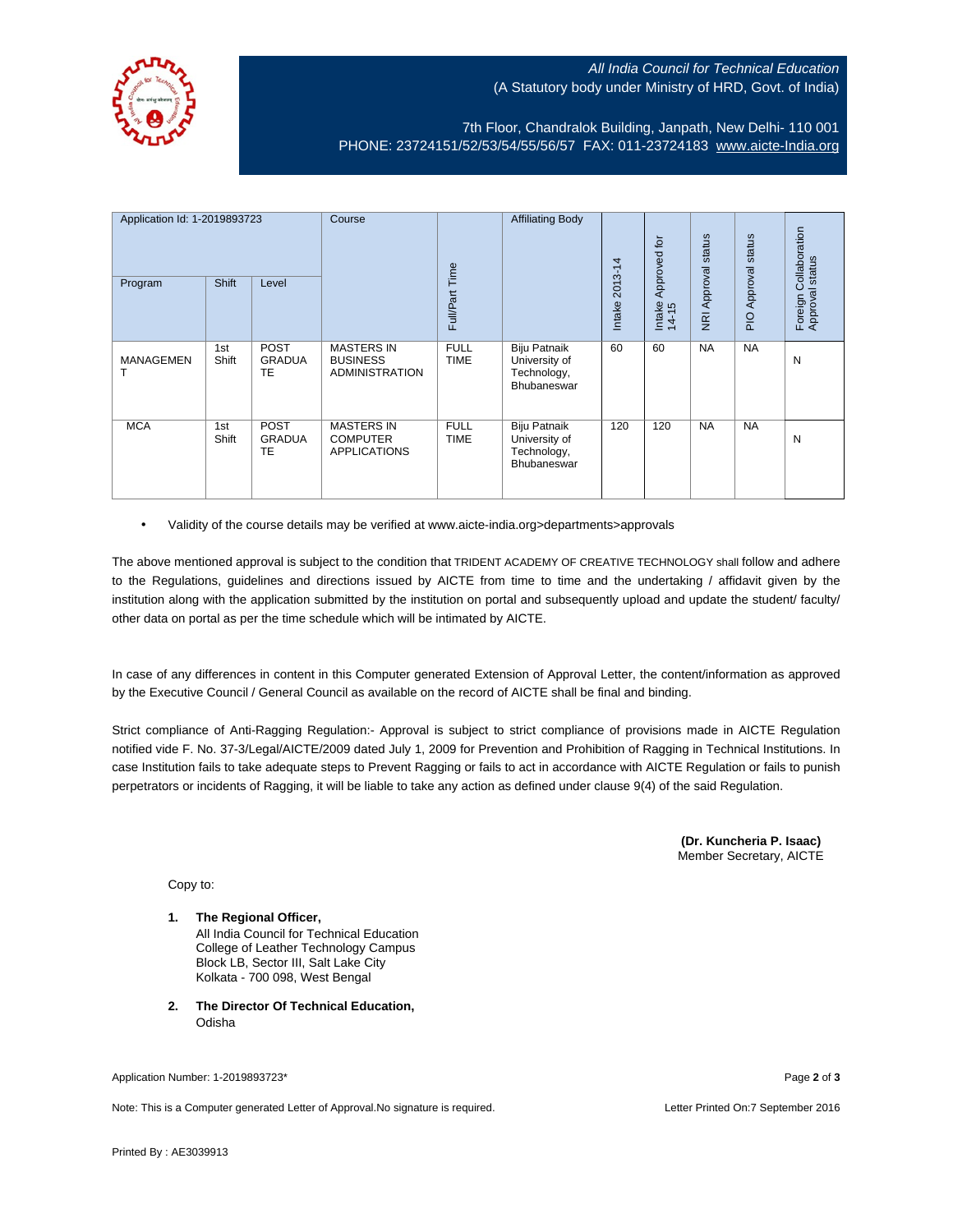

## All India Council for Technical Education (A Statutory body under Ministry of HRD, Govt. of India)

7th Floor, Chandralok Building, Janpath, New Delhi- 110 001 PHONE: 23724151/52/53/54/55/56/57 FAX: 011-23724183 [www.aicte-India.org](http://www.aicte-india.org/)

| Application Id: 1-2019893723 |              | Course                      |                                                               | <b>Affiliating Body</b>    |                                                             | Approved for      | status          | status                     | ollaboration<br>status    |                              |
|------------------------------|--------------|-----------------------------|---------------------------------------------------------------|----------------------------|-------------------------------------------------------------|-------------------|-----------------|----------------------------|---------------------------|------------------------------|
| Program                      | <b>Shift</b> | Level                       |                                                               | Full/Part Time             |                                                             | 2013-14<br>Intake | Intake<br>14-15 | Approval<br>$\overline{g}$ | Approval<br>$\frac{1}{2}$ | ပ<br>Foreign C<br>Approval s |
| <b>MANAGEMEN</b>             | 1st<br>Shift | POST<br><b>GRADUA</b><br>TE | <b>MASTERS IN</b><br><b>BUSINESS</b><br><b>ADMINISTRATION</b> | <b>FULL</b><br><b>TIME</b> | Biju Patnaik<br>University of<br>Technology,<br>Bhubaneswar | 60                | 60              | <b>NA</b>                  | <b>NA</b>                 | N                            |
| <b>MCA</b>                   | 1st<br>Shift | POST<br><b>GRADUA</b><br>TE | <b>MASTERS IN</b><br><b>COMPUTER</b><br><b>APPLICATIONS</b>   | <b>FULL</b><br><b>TIME</b> | Biju Patnaik<br>University of<br>Technology,<br>Bhubaneswar | 120               | 120             | <b>NA</b>                  | <b>NA</b>                 | N                            |

• Validity of the course details may be verified at www.aicte-india.org>departments>approvals

The above mentioned approval is subject to the condition that TRIDENT ACADEMY OF CREATIVE TECHNOLOGY shall follow and adhere to the Regulations, guidelines and directions issued by AICTE from time to time and the undertaking / affidavit given by the institution along with the application submitted by the institution on portal and subsequently upload and update the student/ faculty/ other data on portal as per the time schedule which will be intimated by AICTE.

In case of any differences in content in this Computer generated Extension of Approval Letter, the content/information as approved by the Executive Council / General Council as available on the record of AICTE shall be final and binding.

Strict compliance of Anti-Ragging Regulation:- Approval is subject to strict compliance of provisions made in AICTE Regulation notified vide F. No. 37-3/Legal/AICTE/2009 dated July 1, 2009 for Prevention and Prohibition of Ragging in Technical Institutions. In case Institution fails to take adequate steps to Prevent Ragging or fails to act in accordance with AICTE Regulation or fails to punish perpetrators or incidents of Ragging, it will be liable to take any action as defined under clause 9(4) of the said Regulation.

> **(Dr. Kuncheria P. Isaac)** Member Secretary, AICTE

Copy to:

- **1. The Regional Officer,** All India Council for Technical Education College of Leather Technology Campus Block LB, Sector III, Salt Lake City Kolkata - 700 098, West Bengal
- **2. The Director Of Technical Education, Odisha**

Application Number: 1-2019893723\* Page **2** of **3**

Note: This is a Computer generated Letter of Approval.No signature is required. Letter Printed On:7 September 2016